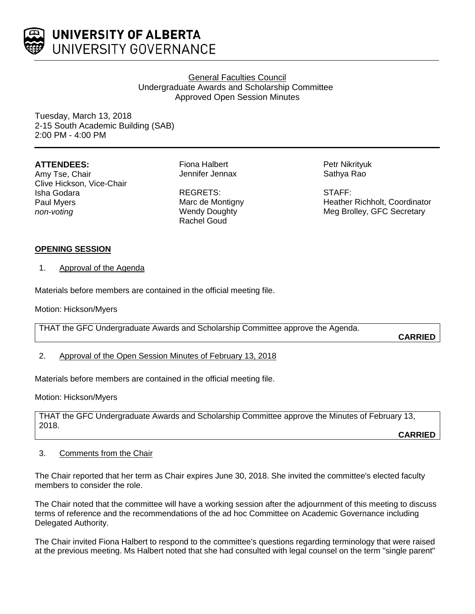

UNIVERSITY OF ALBERTA UNIVERSITY GOVERNANCE

# General Faculties Council Undergraduate Awards and Scholarship Committee Approved Open Session Minutes

Tuesday, March 13, 2018 2-15 South Academic Building (SAB) 2:00 PM - 4:00 PM

## **ATTENDEES:**

Amy Tse, Chair Clive Hickson, Vice-Chair Isha Godara Paul Myers *non-voting*

Fiona Halbert Jennifer Jennax

REGRETS: Marc de Montigny Wendy Doughty Rachel Goud

Petr Nikrityuk Sathya Rao

STAFF: Heather Richholt, Coordinator Meg Brolley, GFC Secretary

## **OPENING SESSION**

1. Approval of the Agenda

Materials before members are contained in the official meeting file.

Motion: Hickson/Myers

THAT the GFC Undergraduate Awards and Scholarship Committee approve the Agenda.

**CARRIED**

2. Approval of the Open Session Minutes of February 13, 2018

Materials before members are contained in the official meeting file.

Motion: Hickson/Myers

THAT the GFC Undergraduate Awards and Scholarship Committee approve the Minutes of February 13, 2018.

**CARRIED**

## 3. Comments from the Chair

The Chair reported that her term as Chair expires June 30, 2018. She invited the committee's elected faculty members to consider the role.

The Chair noted that the committee will have a working session after the adjournment of this meeting to discuss terms of reference and the recommendations of the ad hoc Committee on Academic Governance including Delegated Authority.

The Chair invited Fiona Halbert to respond to the committee's questions regarding terminology that were raised at the previous meeting. Ms Halbert noted that she had consulted with legal counsel on the term "single parent"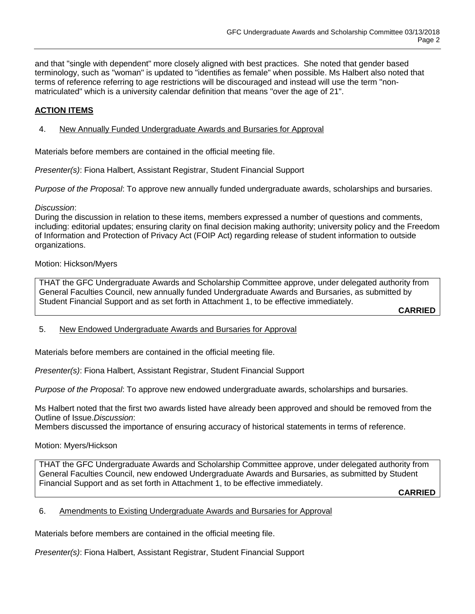and that "single with dependent" more closely aligned with best practices. She noted that gender based terminology, such as "woman" is updated to "identifies as female" when possible. Ms Halbert also noted that terms of reference referring to age restrictions will be discouraged and instead will use the term "nonmatriculated" which is a university calendar definition that means "over the age of 21".

# **ACTION ITEMS**

## 4. New Annually Funded Undergraduate Awards and Bursaries for Approval

Materials before members are contained in the official meeting file.

*Presenter(s)*: Fiona Halbert, Assistant Registrar, Student Financial Support

*Purpose of the Proposal*: To approve new annually funded undergraduate awards, scholarships and bursaries.

#### *Discussion*:

During the discussion in relation to these items, members expressed a number of questions and comments, including: editorial updates; ensuring clarity on final decision making authority; university policy and the Freedom of Information and Protection of Privacy Act (FOIP Act) regarding release of student information to outside organizations.

### Motion: Hickson/Myers

THAT the GFC Undergraduate Awards and Scholarship Committee approve, under delegated authority from General Faculties Council, new annually funded Undergraduate Awards and Bursaries, as submitted by Student Financial Support and as set forth in Attachment 1, to be effective immediately.

**CARRIED**

## 5. New Endowed Undergraduate Awards and Bursaries for Approval

Materials before members are contained in the official meeting file.

*Presenter(s)*: Fiona Halbert, Assistant Registrar, Student Financial Support

*Purpose of the Proposal*: To approve new endowed undergraduate awards, scholarships and bursaries.

Ms Halbert noted that the first two awards listed have already been approved and should be removed from the Outline of Issue.*Discussion*:

Members discussed the importance of ensuring accuracy of historical statements in terms of reference.

Motion: Myers/Hickson

THAT the GFC Undergraduate Awards and Scholarship Committee approve, under delegated authority from General Faculties Council, new endowed Undergraduate Awards and Bursaries, as submitted by Student Financial Support and as set forth in Attachment 1, to be effective immediately.

**CARRIED**

#### 6. Amendments to Existing Undergraduate Awards and Bursaries for Approval

Materials before members are contained in the official meeting file.

*Presenter(s)*: Fiona Halbert, Assistant Registrar, Student Financial Support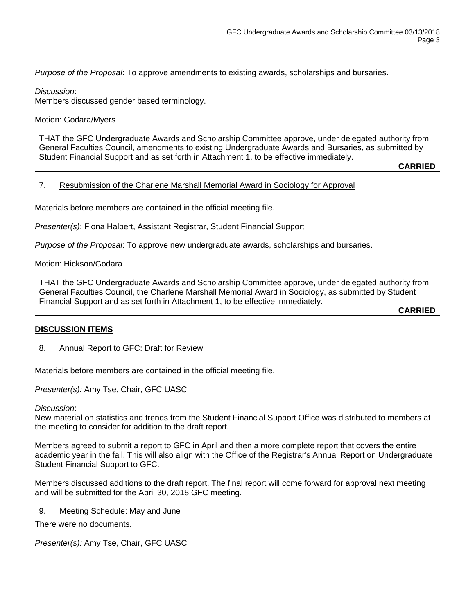*Purpose of the Proposal*: To approve amendments to existing awards, scholarships and bursaries.

*Discussion*:

Members discussed gender based terminology.

Motion: Godara/Myers

THAT the GFC Undergraduate Awards and Scholarship Committee approve, under delegated authority from General Faculties Council, amendments to existing Undergraduate Awards and Bursaries, as submitted by Student Financial Support and as set forth in Attachment 1, to be effective immediately.

**CARRIED**

## 7. Resubmission of the Charlene Marshall Memorial Award in Sociology for Approval

Materials before members are contained in the official meeting file.

*Presenter(s)*: Fiona Halbert, Assistant Registrar, Student Financial Support

*Purpose of the Proposal*: To approve new undergraduate awards, scholarships and bursaries.

Motion: Hickson/Godara

THAT the GFC Undergraduate Awards and Scholarship Committee approve, under delegated authority from General Faculties Council, the Charlene Marshall Memorial Award in Sociology, as submitted by Student Financial Support and as set forth in Attachment 1, to be effective immediately.

**CARRIED**

## **DISCUSSION ITEMS**

## 8. Annual Report to GFC: Draft for Review

Materials before members are contained in the official meeting file.

*Presenter(s):* Amy Tse, Chair, GFC UASC

#### *Discussion*:

New material on statistics and trends from the Student Financial Support Office was distributed to members at the meeting to consider for addition to the draft report.

Members agreed to submit a report to GFC in April and then a more complete report that covers the entire academic year in the fall. This will also align with the Office of the Registrar's Annual Report on Undergraduate Student Financial Support to GFC.

Members discussed additions to the draft report. The final report will come forward for approval next meeting and will be submitted for the April 30, 2018 GFC meeting.

### 9. Meeting Schedule: May and June

There were no documents.

*Presenter(s):* Amy Tse, Chair, GFC UASC